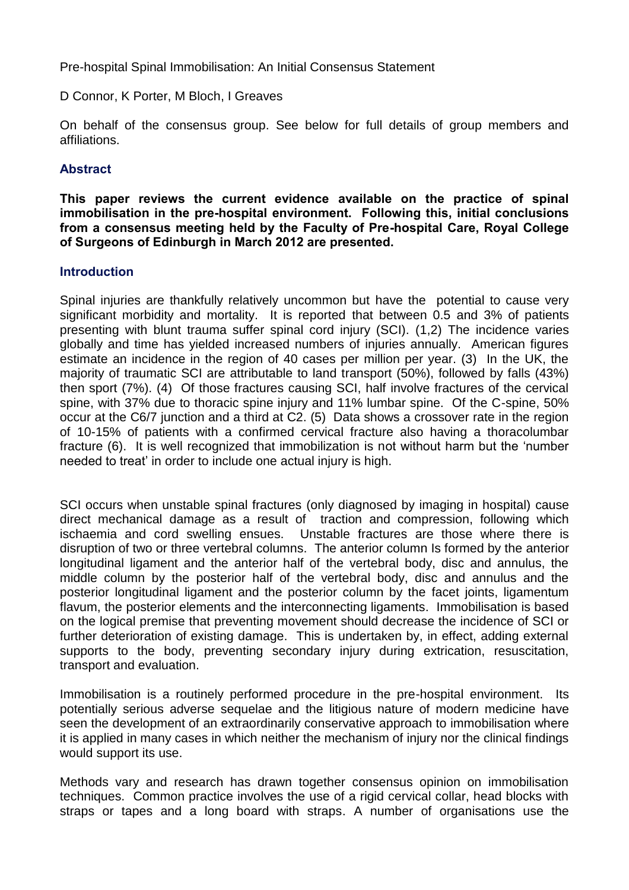Pre-hospital Spinal Immobilisation: An Initial Consensus Statement

D Connor, K Porter, M Bloch, I Greaves

On behalf of the consensus group. See below for full details of group members and affiliations.

## **Abstract**

**This paper reviews the current evidence available on the practice of spinal immobilisation in the pre-hospital environment. Following this, initial conclusions from a consensus meeting held by the Faculty of Pre-hospital Care, Royal College of Surgeons of Edinburgh in March 2012 are presented.**

## **Introduction**

Spinal injuries are thankfully relatively uncommon but have the potential to cause very significant morbidity and mortality. It is reported that between 0.5 and 3% of patients presenting with blunt trauma suffer spinal cord injury (SCI). (1,2) The incidence varies globally and time has yielded increased numbers of injuries annually. American figures estimate an incidence in the region of 40 cases per million per year. (3) In the UK, the majority of traumatic SCI are attributable to land transport (50%), followed by falls (43%) then sport (7%). (4) Of those fractures causing SCI, half involve fractures of the cervical spine, with 37% due to thoracic spine injury and 11% lumbar spine. Of the C-spine, 50% occur at the C6/7 junction and a third at C2. (5) Data shows a crossover rate in the region of 10-15% of patients with a confirmed cervical fracture also having a thoracolumbar fracture (6). It is well recognized that immobilization is not without harm but the 'number needed to treat' in order to include one actual injury is high.

SCI occurs when unstable spinal fractures (only diagnosed by imaging in hospital) cause direct mechanical damage as a result of traction and compression, following which ischaemia and cord swelling ensues. Unstable fractures are those where there is disruption of two or three vertebral columns. The anterior column Is formed by the anterior longitudinal ligament and the anterior half of the vertebral body, disc and annulus, the middle column by the posterior half of the vertebral body, disc and annulus and the posterior longitudinal ligament and the posterior column by the facet joints, ligamentum flavum, the posterior elements and the interconnecting ligaments. Immobilisation is based on the logical premise that preventing movement should decrease the incidence of SCI or further deterioration of existing damage. This is undertaken by, in effect, adding external supports to the body, preventing secondary injury during extrication, resuscitation, transport and evaluation.

Immobilisation is a routinely performed procedure in the pre-hospital environment. Its potentially serious adverse sequelae and the litigious nature of modern medicine have seen the development of an extraordinarily conservative approach to immobilisation where it is applied in many cases in which neither the mechanism of injury nor the clinical findings would support its use.

Methods vary and research has drawn together consensus opinion on immobilisation techniques. Common practice involves the use of a rigid cervical collar, head blocks with straps or tapes and a long board with straps. A number of organisations use the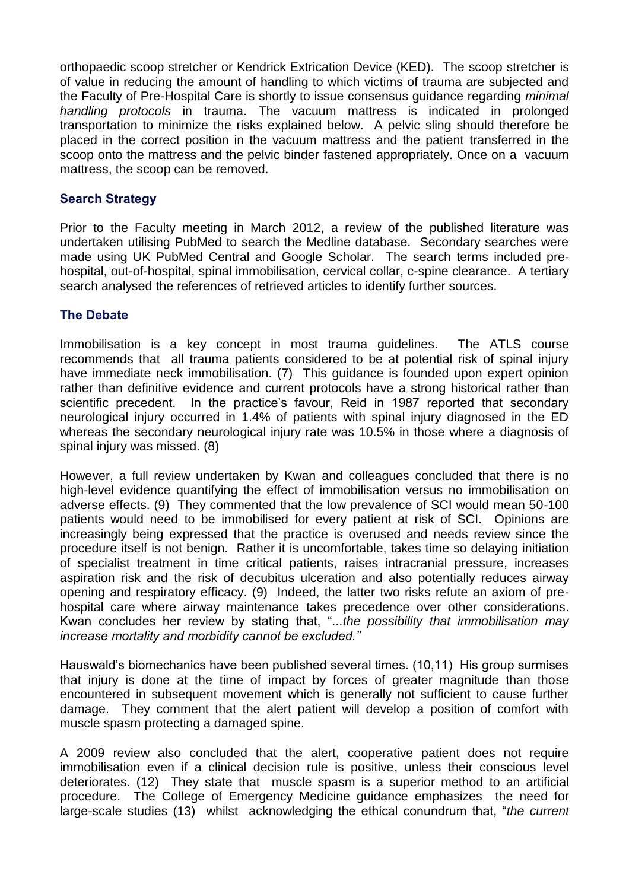orthopaedic scoop stretcher or Kendrick Extrication Device (KED). The scoop stretcher is of value in reducing the amount of handling to which victims of trauma are subjected and the Faculty of Pre-Hospital Care is shortly to issue consensus guidance regarding *minimal handling protocols* in trauma. The vacuum mattress is indicated in prolonged transportation to minimize the risks explained below. A pelvic sling should therefore be placed in the correct position in the vacuum mattress and the patient transferred in the scoop onto the mattress and the pelvic binder fastened appropriately. Once on a vacuum mattress, the scoop can be removed.

## **Search Strategy**

Prior to the Faculty meeting in March 2012, a review of the published literature was undertaken utilising PubMed to search the Medline database. Secondary searches were made using UK PubMed Central and Google Scholar. The search terms included prehospital, out-of-hospital, spinal immobilisation, cervical collar, c-spine clearance. A tertiary search analysed the references of retrieved articles to identify further sources.

## **The Debate**

Immobilisation is a key concept in most trauma guidelines. The ATLS course recommends that all trauma patients considered to be at potential risk of spinal injury have immediate neck immobilisation. (7) This guidance is founded upon expert opinion rather than definitive evidence and current protocols have a strong historical rather than scientific precedent. In the practice's favour, Reid in 1987 reported that secondary neurological injury occurred in 1.4% of patients with spinal injury diagnosed in the ED whereas the secondary neurological injury rate was 10.5% in those where a diagnosis of spinal injury was missed. (8)

However, a full review undertaken by Kwan and colleagues concluded that there is no high-level evidence quantifying the effect of immobilisation versus no immobilisation on adverse effects. (9) They commented that the low prevalence of SCI would mean 50-100 patients would need to be immobilised for every patient at risk of SCI. Opinions are increasingly being expressed that the practice is overused and needs review since the procedure itself is not benign. Rather it is uncomfortable, takes time so delaying initiation of specialist treatment in time critical patients, raises intracranial pressure, increases aspiration risk and the risk of decubitus ulceration and also potentially reduces airway opening and respiratory efficacy. (9) Indeed, the latter two risks refute an axiom of prehospital care where airway maintenance takes precedence over other considerations. Kwan concludes her review by stating that, "...*the possibility that immobilisation may increase mortality and morbidity cannot be excluded."*

Hauswald's biomechanics have been published several times. (10,11) His group surmises that injury is done at the time of impact by forces of greater magnitude than those encountered in subsequent movement which is generally not sufficient to cause further damage. They comment that the alert patient will develop a position of comfort with muscle spasm protecting a damaged spine.

A 2009 review also concluded that the alert, cooperative patient does not require immobilisation even if a clinical decision rule is positive, unless their conscious level deteriorates. (12) They state that muscle spasm is a superior method to an artificial procedure. The College of Emergency Medicine guidance emphasizes the need for large-scale studies (13) whilst acknowledging the ethical conundrum that, "*the current*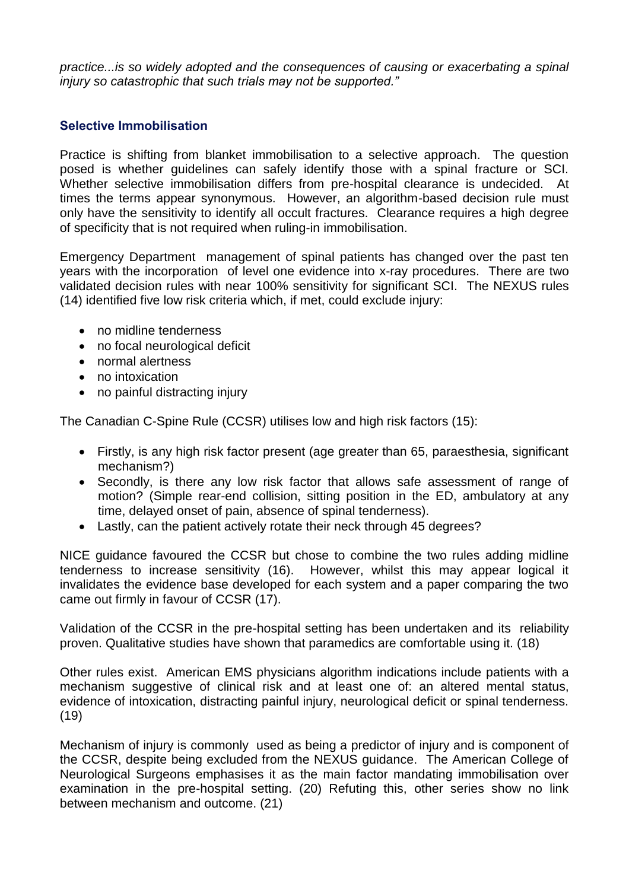*practice...is so widely adopted and the consequences of causing or exacerbating a spinal injury so catastrophic that such trials may not be supported."*

## **Selective Immobilisation**

Practice is shifting from blanket immobilisation to a selective approach. The question posed is whether guidelines can safely identify those with a spinal fracture or SCI. Whether selective immobilisation differs from pre-hospital clearance is undecided. At times the terms appear synonymous. However, an algorithm-based decision rule must only have the sensitivity to identify all occult fractures. Clearance requires a high degree of specificity that is not required when ruling-in immobilisation.

Emergency Department management of spinal patients has changed over the past ten years with the incorporation of level one evidence into x-ray procedures. There are two validated decision rules with near 100% sensitivity for significant SCI. The NEXUS rules (14) identified five low risk criteria which, if met, could exclude injury:

- no midline tenderness
- no focal neurological deficit
- normal alertness
- no intoxication
- no painful distracting injury

The Canadian C-Spine Rule (CCSR) utilises low and high risk factors (15):

- Firstly, is any high risk factor present (age greater than 65, paraesthesia, significant mechanism?)
- Secondly, is there any low risk factor that allows safe assessment of range of motion? (Simple rear-end collision, sitting position in the ED, ambulatory at any time, delayed onset of pain, absence of spinal tenderness).
- Lastly, can the patient actively rotate their neck through 45 degrees?

NICE guidance favoured the CCSR but chose to combine the two rules adding midline tenderness to increase sensitivity (16). However, whilst this may appear logical it invalidates the evidence base developed for each system and a paper comparing the two came out firmly in favour of CCSR (17).

Validation of the CCSR in the pre-hospital setting has been undertaken and its reliability proven. Qualitative studies have shown that paramedics are comfortable using it. (18)

Other rules exist. American EMS physicians algorithm indications include patients with a mechanism suggestive of clinical risk and at least one of: an altered mental status, evidence of intoxication, distracting painful injury, neurological deficit or spinal tenderness. (19)

Mechanism of injury is commonly used as being a predictor of injury and is component of the CCSR, despite being excluded from the NEXUS guidance. The American College of Neurological Surgeons emphasises it as the main factor mandating immobilisation over examination in the pre-hospital setting. (20) Refuting this, other series show no link between mechanism and outcome. (21)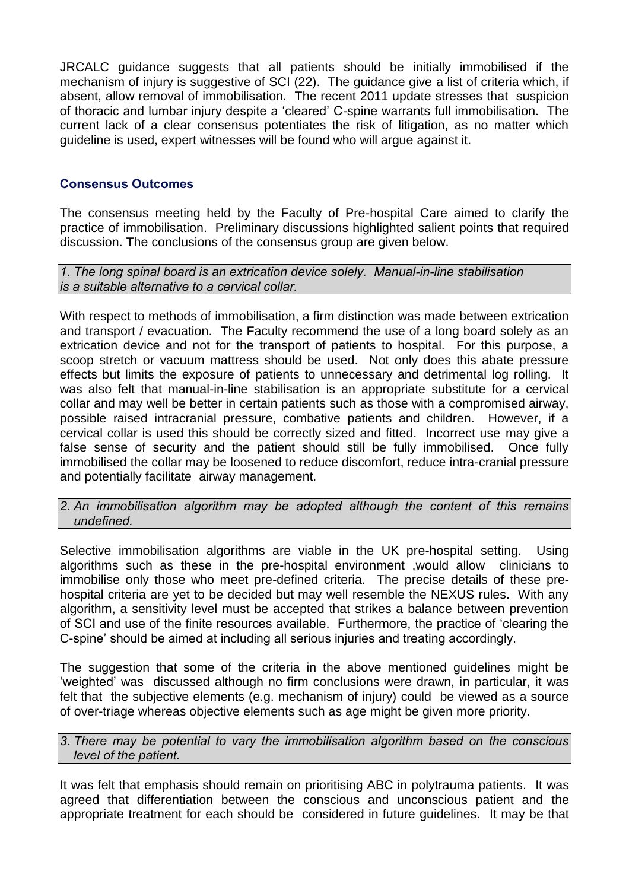JRCALC guidance suggests that all patients should be initially immobilised if the mechanism of injury is suggestive of SCI (22). The guidance give a list of criteria which, if absent, allow removal of immobilisation. The recent 2011 update stresses that suspicion of thoracic and lumbar injury despite a 'cleared' C-spine warrants full immobilisation. The current lack of a clear consensus potentiates the risk of litigation, as no matter which guideline is used, expert witnesses will be found who will argue against it.

# **Consensus Outcomes**

The consensus meeting held by the Faculty of Pre-hospital Care aimed to clarify the practice of immobilisation. Preliminary discussions highlighted salient points that required discussion. The conclusions of the consensus group are given below.

*1. The long spinal board is an extrication device solely. Manual-in-line stabilisation is a suitable alternative to a cervical collar.*

With respect to methods of immobilisation, a firm distinction was made between extrication and transport / evacuation. The Faculty recommend the use of a long board solely as an extrication device and not for the transport of patients to hospital. For this purpose, a scoop stretch or vacuum mattress should be used. Not only does this abate pressure effects but limits the exposure of patients to unnecessary and detrimental log rolling. It was also felt that manual-in-line stabilisation is an appropriate substitute for a cervical collar and may well be better in certain patients such as those with a compromised airway, possible raised intracranial pressure, combative patients and children. However, if a cervical collar is used this should be correctly sized and fitted. Incorrect use may give a false sense of security and the patient should still be fully immobilised. Once fully immobilised the collar may be loosened to reduce discomfort, reduce intra-cranial pressure and potentially facilitate airway management.

*2. An immobilisation algorithm may be adopted although the content of this remains undefined.*

Selective immobilisation algorithms are viable in the UK pre-hospital setting. Using algorithms such as these in the pre-hospital environment ,would allow clinicians to immobilise only those who meet pre-defined criteria. The precise details of these prehospital criteria are yet to be decided but may well resemble the NEXUS rules. With any algorithm, a sensitivity level must be accepted that strikes a balance between prevention of SCI and use of the finite resources available. Furthermore, the practice of 'clearing the C-spine' should be aimed at including all serious injuries and treating accordingly.

The suggestion that some of the criteria in the above mentioned guidelines might be 'weighted' was discussed although no firm conclusions were drawn, in particular, it was felt that the subjective elements (e.g. mechanism of injury) could be viewed as a source of over-triage whereas objective elements such as age might be given more priority.

*3. There may be potential to vary the immobilisation algorithm based on the conscious level of the patient.* 

It was felt that emphasis should remain on prioritising ABC in polytrauma patients. It was agreed that differentiation between the conscious and unconscious patient and the appropriate treatment for each should be considered in future guidelines. It may be that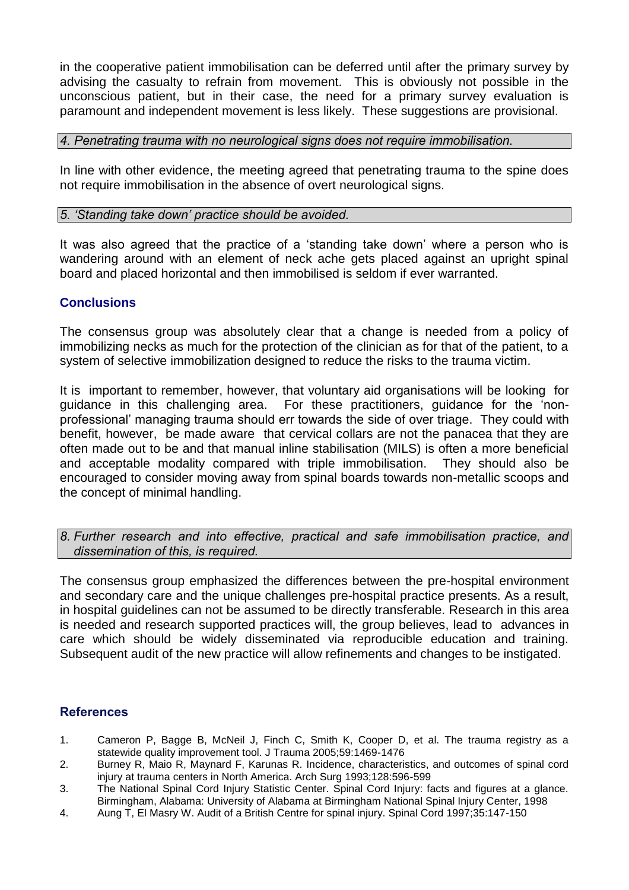in the cooperative patient immobilisation can be deferred until after the primary survey by advising the casualty to refrain from movement. This is obviously not possible in the unconscious patient, but in their case, the need for a primary survey evaluation is paramount and independent movement is less likely. These suggestions are provisional.

### *4. Penetrating trauma with no neurological signs does not require immobilisation.*

In line with other evidence, the meeting agreed that penetrating trauma to the spine does not require immobilisation in the absence of overt neurological signs.

### *5. 'Standing take down' practice should be avoided.*

It was also agreed that the practice of a 'standing take down' where a person who is wandering around with an element of neck ache gets placed against an upright spinal board and placed horizontal and then immobilised is seldom if ever warranted.

## **Conclusions**

The consensus group was absolutely clear that a change is needed from a policy of immobilizing necks as much for the protection of the clinician as for that of the patient, to a system of selective immobilization designed to reduce the risks to the trauma victim.

It is important to remember, however, that voluntary aid organisations will be looking for guidance in this challenging area. For these practitioners, guidance for the 'nonprofessional' managing trauma should err towards the side of over triage. They could with benefit, however, be made aware that cervical collars are not the panacea that they are often made out to be and that manual inline stabilisation (MILS) is often a more beneficial and acceptable modality compared with triple immobilisation. They should also be encouraged to consider moving away from spinal boards towards non-metallic scoops and the concept of minimal handling.

*8. Further research and into effective, practical and safe immobilisation practice, and dissemination of this, is required.*

The consensus group emphasized the differences between the pre-hospital environment and secondary care and the unique challenges pre-hospital practice presents. As a result, in hospital guidelines can not be assumed to be directly transferable. Research in this area is needed and research supported practices will, the group believes, lead to advances in care which should be widely disseminated via reproducible education and training. Subsequent audit of the new practice will allow refinements and changes to be instigated.

#### **References**

- 1. Cameron P, Bagge B, McNeil J, Finch C, Smith K, Cooper D, et al. The trauma registry as a statewide quality improvement tool. J Trauma 2005;59:1469-1476
- 2. Burney R, Maio R, Maynard F, Karunas R. Incidence, characteristics, and outcomes of spinal cord injury at trauma centers in North America. Arch Surg 1993;128:596-599
- 3. The National Spinal Cord Injury Statistic Center. Spinal Cord Injury: facts and figures at a glance. Birmingham, Alabama: University of Alabama at Birmingham National Spinal Injury Center, 1998
- 4. Aung T, El Masry W. Audit of a British Centre for spinal injury. Spinal Cord 1997;35:147-150